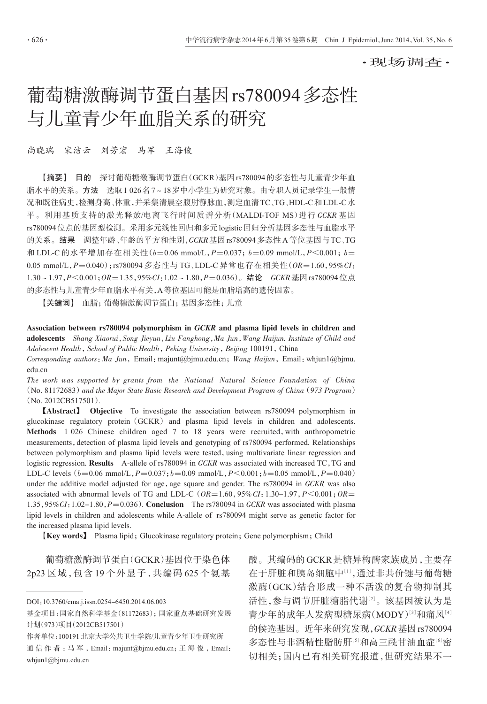## ·现场调查·

# 葡萄糖激酶调节蛋白基因rs780094多态性 与儿童青少年血脂关系的研究

尚晓瑞 宋洁云 刘芳宏 马军 王海俊

【摘要】 目的 探讨葡萄糖激酶调节蛋白(GCKR)基因rs780094的多态性与儿童青少年血 脂水平的关系。方法 选取1 026名7~18岁中小学生为研究对象。由专职人员记录学生一般情 况和既往病史,检测身高、体重,并采集清晨空腹肘静脉血,测定血清TC、TG、HDL-C和LDL-C水 平。利用基质支持的激光释放/电离飞行时间质谱分析(MALDI-TOF MS)进行 GCKR 基因 rs780094位点的基因型检测。采用多元线性回归和多元logistic回归分析基因多态性与血脂水平 的关系。结果 调整年龄、年龄的平方和性别,GCKR基因rs780094多态性A等位基因与TC、TG 和 LDL-C 的水平增加存在相关性(b=0.06 mmol/L, P=0.037; b=0.09 mmol/L, P<0.001; b= 0.05 mmol/L,P=0.040);rs780094 多态性与 TG、LDL-C 异常也存在相关性(OR=1.60,95%CI: 1.30~1.97,  $P \le 0.001$ ;  $OR = 1.35$ ,  $95\% CI$ ;  $1.02$ ~1.80,  $P = 0.036$ )。结论 GCKR 基因rs780094位点 的多态性与儿童青少年血脂水平有关,A等位基因可能是血脂增高的遗传因素。

【关键词】 血脂;葡萄糖激酶调节蛋白;基因多态性;儿童

Association between rs780094 polymorphism in GCKR and plasma lipid levels in children and adolescents Shang Xiaorui,Song Jieyun,Liu Fanghong,Ma Jun,Wang Haijun. Institute of Child and Adolescent Health, School of Public Health, Peking University, Beijing 100191, China Corresponding authors: Ma Jun, Email: majunt@bjmu.edu.cn; Wang Haijun, Email: whjun1@bjmu. edu.cn

The work was supported by grants from the National Natural Science Foundation of China (No. 81172683) and the Major State Basic Research and Development Program of China (973 Program) (No. 2012CB517501).

【Abstract】 Objective To investigate the association between rs780094 polymorphism in glucokinase regulatory protein(GCKR) and plasma lipid levels in children and adolescents. Methods 1 026 Chinese children aged 7 to 18 years were recruited, with anthropometric measurements, detection of plasma lipid levels and genotyping of rs780094 performed. Relationships between polymorphism and plasma lipid levels were tested, using multivariate linear regression and logistic regression. Results A-allele of rs780094 in GCKR was associated with increased TC, TG and LDL-C levels ( $b=0.06$  mmol/L,  $P=0.037$ ;  $b=0.09$  mmol/L,  $P<0.001$ ;  $b=0.05$  mmol/L,  $P=0.040$ ) under the additive model adjusted for age, age square and gender. The rs780094 in GCKR was also associated with abnormal levels of TG and LDL-C ( $OR=1.60,95\%CI:1.30-1.97, P<0.001;OR=$ 1.35,95%CI:1.02-1.80, $P=0.036$ ). Conclusion The rs780094 in GCKR was associated with plasma lipid levels in children and adolescents while A-allele of rs780094 might serve as genetic factor for the increased plasma lipid levels.

【Key words】 Plasma lipid;Glucokinase regulatory protein;Gene polymorphism;Child

葡萄糖激酶调节蛋白(GCKR)基因位于染色体 2p23 区域,包含 19 个外显子,共编码 625 个氨基

酸。其编码的GCKR是糖异构酶家族成员,主要存 在于肝脏和胰岛细胞中[1],通过非共价键与葡萄糖 激酶(GCK)结合形成一种不活泼的复合物抑制其 活性,参与调节肝脏糖脂代谢[2]。该基因被认为是 青少年的成年人发病型糖尿病(MODY)[3]和痛风[4] 的候选基因。近年来研究发现,GCKR基因rs780094 多态性与非酒精性脂肪肝'<sup>5]</sup>和高三酰甘油血症'<sup>6]</sup>密 切相关;国内已有相关研究报道,但研究结果不一

DOI:10.3760/cma.j.issn.0254-6450.2014.06.003

基金项目:国家自然科学基金(81172683);国家重点基础研究发展 计划(973)项目(2012CB517501)

作者单位:100191 北京大学公共卫生学院/儿童青少年卫生研究所 通信作者: 马军, Email: majunt@bjmu.edu.cn;王 海 俊, Email: whjun1@bjmu.edu.cn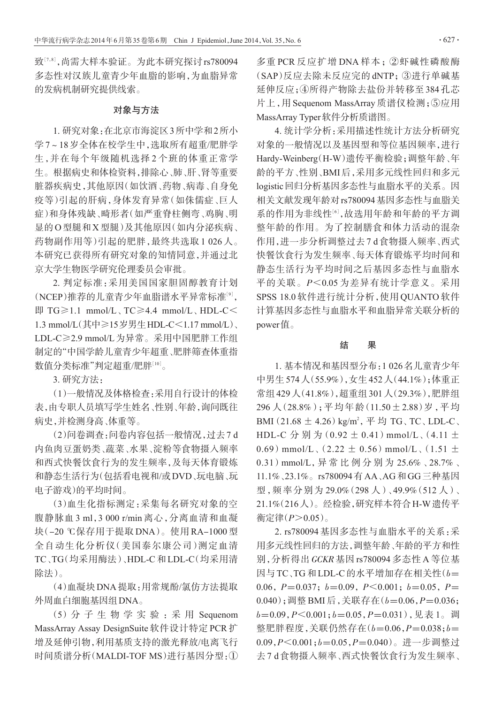致[7,8],尚需大样本验证。为此本研究探讨 rs780094 多态性对汉族儿童青少年血脂的影响,为血脂异常 的发病机制研究提供线索。

### 对象与方法

1. 研究对象:在北京市海淀区3所中学和2所小 学7~18岁全体在校学生中,选取所有超重/肥胖学 生,并在每个年级随机选择 2 个班的体重正常学 生。根据病史和体检资料,排除心、肺、肝、肾等重要 脏器疾病史,其他原因(如饮酒、药物、病毒、自身免 疫等)引起的肝病,身体发育异常(如侏儒症、巨人 症)和身体残缺、畸形者(如严重脊柱侧弯、鸡胸、明 显的O型腿和X型腿)及其他原因(如内分泌疾病、 药物副作用等)引起的肥胖,最终共选取 1 026 人。 本研究已获得所有研究对象的知情同意,并通过北 京大学生物医学研究伦理委员会审批。

2. 判定标准:采用美国国家胆固醇教育计划 (NCEP)推荐的儿童青少年血脂谱水平异常标准<sup>[9]</sup>, 即 TG≥1.1 mmol/L、TC≥4.4 mmol/L、HDL-C< 1.3 mmol/L(其中≥15岁男生HDL-C<1.17 mmol/L)、 LDL-C≥2.9 mmol/L为异常。采用中国肥胖工作组 制定的"中国学龄儿童青少年超重、肥胖筛查体重指 数值分类标准"判定超重/肥胖 $^{\text{\tiny{[10]}}}$ 。

3. 研究方法:

(1)一般情况及体格检查:采用自行设计的体检 表,由专职人员填写学生姓名、性别、年龄,询问既往 病史,并检测身高、体重等。

(2)问卷调查:问卷内容包括一般情况,过去7 d 内鱼肉豆蛋奶类、蔬菜、水果、淀粉等食物摄入频率 和西式快餐饮食行为的发生频率,及每天体育锻炼 和静态生活行为(包括看电视和/或DVD、玩电脑、玩 电子游戏)的平均时间。

(3)血生化指标测定:采集每名研究对象的空 腹静脉血 3 ml,3 000 r/min 离心,分离血清和血凝 块(-20 ℃保存用于提取 DNA)。使用 RA-1000 型 全自动生化分析仪(美国泰尔康公司)测定血清 TC、TG(均采用酶法)、HDL-C和LDL-C(均采用清 除法)。

(4)血凝块DNA提取:用常规酚/氯仿方法提取 外周血白细胞基因组DNA。

(5)分 子 生 物 学 实 验 :采 用 Sequenom MassArray Assay DesignSuite 软件设计特定 PCR 扩 增及延伸引物,利用基质支持的激光释放/电离飞行 时间质谱分析(MALDI-TOF MS)进行基因分型:① 多重 PCR 反应扩增 DNA 样本;②虾碱性磷酸酶 (SAP)反应去除未反应完的 dNTP;③进行单碱基 延伸反应;④所得产物除去盐份并转移至 384 孔芯 片上,用 Sequenom MassArray 质谱仪检测;⑤应用 MassArray Typer软件分析质谱图。

4. 统计学分析:采用描述性统计方法分析研究 对象的一般情况以及基因型和等位基因频率,进行 Hardy-Weinberg(H-W)遗传平衡检验;调整年龄、年 龄的平方、性别、BMI后,采用多元线性回归和多元 logistic回归分析基因多态性与血脂水平的关系。因 相关文献发现年龄对rs780094基因多态性与血脂关 系的作用为非线性[6],故选用年龄和年龄的平方调 整年龄的作用。为了控制膳食和体力活动的混杂 作用,进一步分析调整过去7 d食物摄入频率、西式 快餐饮食行为发生频率、每天体育锻炼平均时间和 静态生活行为平均时间之后基因多态性与血脂水 平的关联。P<0.05 为差异有统计学意义。采用 SPSS 18.0 软件进行统计分析,使用 QUANTO 软件 计算基因多态性与血脂水平和血脂异常关联分析的 power值。

#### 结 果

1. 基本情况和基因型分布:1 026名儿童青少年 中男生574人(55.9%),女生452人(44.1%);体重正 常组429人(41.8%),超重组301人(29.3%),肥胖组 296 人(28.8%);平均年龄(11.50±2.88)岁,平均 BMI  $(21.68 \pm 4.26)$  kg/m<sup>2</sup>, 平均 TG、TC、LDL-C、 HDL-C 分别为 $(0.92 \pm 0.41)$  mmol/L、 $(4.11 \pm$ 0.69) mmol/L、(2.22 ± 0.56) mmol/L、(1.51 ± 0.31)mmol/L,异 常 比 例 分 别 为 25.6% 、28.7% 、 11.1%、23.1%。rs780094有AA、AG和GG三种基因 型,频率分别为 29.0%(298 人)、49.9%(512 人)、 21.1%(216人)。经检验,研究样本符合H-W遗传平 衡定律(P>0.05)。

2. rs780094 基因多态性与血脂水平的关系:采 用多元线性回归的方法,调整年龄、年龄的平方和性 别,分析得出 GCKR 基因 rs780094 多态性 A 等位基 因与TC、TG和LDL-C的水平增加存在相关性 $(b=$ 0.06, P=0.037; b=0.09, P<0.001; b=0.05, P=  $(0.040)$ ; 调整 BMI 后, 关联存在 $(b=0.06, P=0.036;$  $b=0.09, P<0.001; b=0.05, P=0.031)$ ,见表 1。调 整肥胖程度,关联仍然存在(b=0.06,P=0.038;b=  $0.09, P < 0.001; b = 0.05, P = 0.040$ )。进一步调整过 去7 d食物摄入频率、西式快餐饮食行为发生频率、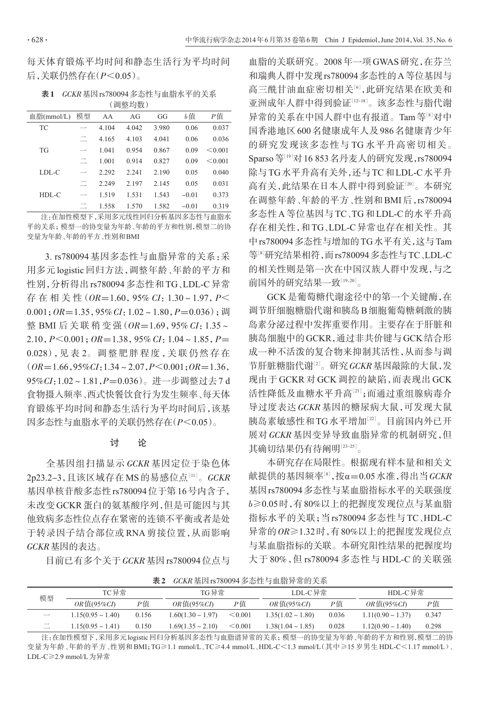每天体育锻炼平均时间和静态生活行为平均时间 后,关联仍然存在(P<0.05)。

表1 GCKR基因rs780094多态性与血脂水平的关系 (调整均数)

| 血脂(mmol/L)                                                                                                                                                                                                                                                                                                                              | 模型                       | AA    | AG    | GG    | $b$ 值   | P值      |  |  |  |  |  |
|-----------------------------------------------------------------------------------------------------------------------------------------------------------------------------------------------------------------------------------------------------------------------------------------------------------------------------------------|--------------------------|-------|-------|-------|---------|---------|--|--|--|--|--|
| TC                                                                                                                                                                                                                                                                                                                                      | $\overline{\phantom{0}}$ | 4.104 | 4.042 | 3.980 | 0.06    | 0.037   |  |  |  |  |  |
|                                                                                                                                                                                                                                                                                                                                         |                          | 4.165 | 4.103 | 4.041 | 0.06    | 0.036   |  |  |  |  |  |
| TG                                                                                                                                                                                                                                                                                                                                      | $\overline{\phantom{0}}$ | 1.041 | 0.954 | 0.867 | 0.09    | < 0.001 |  |  |  |  |  |
|                                                                                                                                                                                                                                                                                                                                         | ⊸                        | 1.001 | 0.914 | 0.827 | 0.09    | < 0.001 |  |  |  |  |  |
| LDL-C                                                                                                                                                                                                                                                                                                                                   | $\overline{\phantom{0}}$ | 2.292 | 2.241 | 2.190 | 0.05    | 0.040   |  |  |  |  |  |
|                                                                                                                                                                                                                                                                                                                                         | Ξ                        | 2.249 | 2.197 | 2.145 | 0.05    | 0.031   |  |  |  |  |  |
| $HDL-C$                                                                                                                                                                                                                                                                                                                                 | $\overline{\phantom{0}}$ | 1.519 | 1.531 | 1.543 | $-0.01$ | 0.373   |  |  |  |  |  |
|                                                                                                                                                                                                                                                                                                                                         |                          | 1.558 | 1.570 | 1.582 | $-0.01$ | 0.319   |  |  |  |  |  |
| $\mathcal{L}(\mathcal{L})$ and $\mathcal{L}(\mathcal{L})$ . The contract of the contract of $\mathcal{L}(\mathcal{L})$ and $\mathcal{L}(\mathcal{L})$ . The contract of the contract of $\mathcal{L}(\mathcal{L})$ and $\mathcal{L}(\mathcal{L})$ and $\mathcal{L}(\mathcal{L})$ and $\mathcal{L}(\mathcal{L})$ and $\mathcal{L}(\math$ |                          |       |       |       |         |         |  |  |  |  |  |

注:在加性模型下,采用多元线性回归分析基因多态性与血脂水 平的关系;模型一的协变量为年龄、年龄的平方和性别,模型二的协 变量为年龄、年龄的平方、性别和BMI

3. rs780094 基因多态性与血脂异常的关系:采 用多元 logistic 回归方法,调整年龄、年龄的平方和 性别,分析得出rs780094多态性和TG、LDL-C异常 存 在 相 关 性(OR=1.60,95% CI:1.30~1.97,P<  $0.001; OR = 1.35,95\% CI; 1.02 \sim 1.80, P = 0.036$ ; 调 整 BMI 后关联稍变强(OR=1.69,95% CI: 1.35~ 2.10,  $P \le 0.001$ ;  $OR = 1.38$ ,  $95\% CI$ ;  $1.04 \sim 1.85$ ,  $P =$ 0.028),见表 2。调整肥胖程度,关联仍然存在  $(OR=1.66, 95\% CI: 1.34 \sim 2.07, P \le 0.001; OR=1.36,$ 95%CI:1.02~1.81, P=0.036)。进一步调整过去7 d 食物摄入频率、西式快餐饮食行为发生频率、每天体 育锻炼平均时间和静态生活行为平均时间后,该基 因多态性与血脂水平的关联仍然存在(P<0.05)。

#### 讨 论

全基因组扫描显示 GCKR 基因定位于染色体 2p23.2–3,且该区域存在 MS 的易感位点''''。*GCKR* 基因单核苷酸多态性rs780094位于第16号内含子, 未改变GCKR蛋白的氨基酸序列,但是可能因与其 他致病多态性位点存在紧密的连锁不平衡或者是处 于转录因子结合部位或 RNA 剪接位置,从而影响 GCKR基因的表达。

目前已有多个关于GCKR基因rs780094位点与

血脂的关联研究。2008年一项GWAS研究,在芬兰 和瑞典人群中发现rs780094多态性的A等位基因与 高三酰甘油血症密切相关'<sup>6]</sup>,此研究结果在欧美和 亚洲成年人群中得到验证[<sup>12</sup>-18] 。该多态性与脂代谢 异常的关系在中国人群中也有报道。Tam等[<sup>8</sup>] 对中 国香港地区600名健康成年人及986名健康青少年 的研究发现该多态性与 TG 水平升高密切相关。 Sparso等[19]对 16 853名丹麦人的研究发现,rs780094 除与TG水平升高有关外,还与TC和LDL-C水平升 高有关,此结果在日本人群中得到验证[<sup>20</sup>] 。本研究 在调整年龄、年龄的平方、性别和BMI后,rs780094 多态性A等位基因与TC、TG和LDL-C的水平升高 存在相关性,和TG、LDL-C异常也存在相关性。其 中rs780094多态性与增加的TG水平有关,这与Tam 等<sup>8]</sup>研究结果相符,而rs780094多态性与TC、LDL-C 的相关性则是第一次在中国汉族人群中发现,与之 前国外的研究结果一致 $^{[19,20]}$ 。

GCK是葡萄糖代谢途径中的第一个关键酶,在 调节肝细胞糖脂代谢和胰岛B细胞葡萄糖刺激的胰 岛素分泌过程中发挥重要作用。主要存在于肝脏和 胰岛细胞中的GCKR,通过非共价键与GCK结合形 成一种不活泼的复合物来抑制其活性,从而参与调 节肝脏糖脂代谢<sup>[2]</sup>。研究 GCKR 基因敲除的大鼠, 发 现由于 GCKR 对 GCK 调控的缺陷,而表现出 GCK 活性降低及血糖水平升高[21];而通过重组腺病毒介 导过度表达 GCKR 基因的糖尿病大鼠,可发现大鼠 胰岛素敏感性和TG水平增加[<sup>22</sup>] 。目前国内外已开 展对 GCKR 基因变异导致血脂异常的机制研究,但 其确切结果仍有待阐明 $^{[23-25]}$ 。

本研究存在局限性。根据现有样本量和相关文 献提供的基因频率[8],按α=0.05水准,得出当 GCKR 基因rs780094多态性与某血脂指标水平的关联强度 b≥0.05时,有80%以上的把握度发现位点与某血脂 指标水平的关联;当 rs780094 多态性与 TC、HDL-C 异常的OR≥1.32时,有80%以上的把握度发现位点 与某血脂指标的关联。本研究阳性结果的把握度均 大于 80%,但 rs780094 多态性与 HDL-C 的关联强

表2 GCKR基因rs780094多态性与血脂异常的关系

| ◆ ヘンコ → ついい い つ つ つ つ つ つ つ つ つ つ つ コ コ 皿 カロ ノ コ ロ ロ コ ノ く オト |                        |       |                        |              |                        |       |                        |       |  |  |  |  |  |
|---------------------------------------------------------------|------------------------|-------|------------------------|--------------|------------------------|-------|------------------------|-------|--|--|--|--|--|
| 模型                                                            | TC异常                   |       | TG异常                   |              | LDL-C异常                |       | HDL-C异常                |       |  |  |  |  |  |
|                                                               | $OR$ 值(95% $CI$ )      | Р值    | OR $f$ $(95\%CI)$      | Р值           | OR $(195\%CI)$         | Р值    | $OR$ 值(95%CI)          | Р值    |  |  |  |  |  |
| $\overline{\phantom{a}}$                                      | $1.15(0.95 \sim 1.40)$ | 0.156 | $1.60(1.30 \sim 1.97)$ | < 0.001      | $1.35(1.02 \sim 1.80)$ | 0.036 | $1.11(0.90 \sim 1.37)$ | 0.347 |  |  |  |  |  |
| $-$<br>$-$                                                    | $1.15(0.95 \sim 1.41)$ | 0.150 | $1.69(1.35 \sim 2.10)$ | $\leq 0.001$ | $1.38(1.04 \sim 1.85)$ | 0.028 | $1.12(0.90 \sim 1.40)$ | 0.298 |  |  |  |  |  |

注:在加性模型下,采用多元logistic回归分析基因多态性与血脂谱异常的关系;模型一的协变量为年龄、年龄的平方和性别,模型二的协 变量为年龄、年龄的平方、性别和 BMI;TG≥1.1 mmol/L、TC≥4.4 mmol/L、HDL-C<1.3 mmol/L(其中≥15 岁男生 HDL-C<1.17 mmol/L﹚、 LDL-C≥2.9 mmol/L为异常